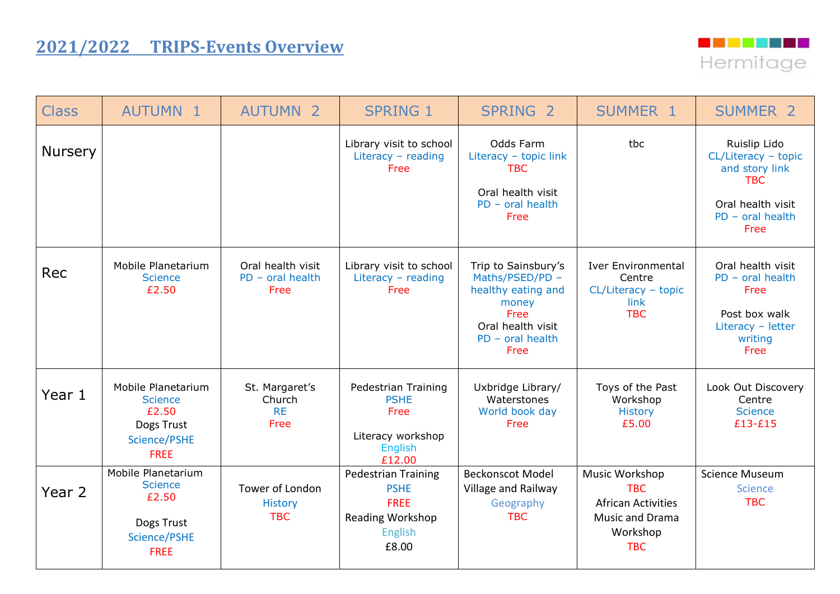## **2021/2022 TRIPS-Events Overview**



| <b>Class</b>   | <b>AUTUMN 1</b>                                                                            | <b>AUTUMN 2</b>                                 | <b>SPRING 1</b>                                                                                         | SPRING <sub>2</sub>                                                                                                              | SUMMER 1                                                                                                      | <b>SUMMER 2</b>                                                                                                        |
|----------------|--------------------------------------------------------------------------------------------|-------------------------------------------------|---------------------------------------------------------------------------------------------------------|----------------------------------------------------------------------------------------------------------------------------------|---------------------------------------------------------------------------------------------------------------|------------------------------------------------------------------------------------------------------------------------|
| <b>Nursery</b> |                                                                                            |                                                 | Library visit to school<br>Literacy $-$ reading<br>Free                                                 | Odds Farm<br>Literacy - topic link<br><b>TBC</b><br>Oral health visit<br>$PD - oral health$<br>Free                              | tbc                                                                                                           | Ruislip Lido<br>CL/Literacy - topic<br>and story link<br><b>TBC</b><br>Oral health visit<br>$PD$ – oral health<br>Free |
| Rec            | Mobile Planetarium<br><b>Science</b><br>£2.50                                              | Oral health visit<br>$PD - oral health$<br>Free | Library visit to school<br>Literacy - reading<br>Free                                                   | Trip to Sainsbury's<br>Maths/PSED/PD -<br>healthy eating and<br>money<br>Free<br>Oral health visit<br>$PD$ – oral health<br>Free | <b>Iver Environmental</b><br>Centre<br>CL/Literacy - topic<br>link<br><b>TBC</b>                              | Oral health visit<br>$PD - oral health$<br>Free<br>Post box walk<br>Literacy - letter<br>writing<br>Free               |
| Year 1         | Mobile Planetarium<br><b>Science</b><br>£2.50<br>Dogs Trust<br>Science/PSHE<br><b>FREE</b> | St. Margaret's<br>Church<br><b>RE</b><br>Free   | Pedestrian Training<br><b>PSHE</b><br>Free<br>Literacy workshop<br><b>English</b><br>£12.00             | Uxbridge Library/<br>Waterstones<br>World book day<br>Free                                                                       | Toys of the Past<br>Workshop<br><b>History</b><br>£5.00                                                       | Look Out Discovery<br>Centre<br><b>Science</b><br>£13-£15                                                              |
| Year 2         | Mobile Planetarium<br><b>Science</b><br>£2.50<br>Dogs Trust<br>Science/PSHE<br><b>FREE</b> | Tower of London<br><b>History</b><br><b>TBC</b> | <b>Pedestrian Training</b><br><b>PSHE</b><br><b>FREE</b><br><b>Reading Workshop</b><br>English<br>£8.00 | <b>Beckonscot Model</b><br>Village and Railway<br>Geography<br><b>TBC</b>                                                        | Music Workshop<br><b>TBC</b><br><b>African Activities</b><br><b>Music and Drama</b><br>Workshop<br><b>TBC</b> | <b>Science Museum</b><br>Science<br><b>TBC</b>                                                                         |